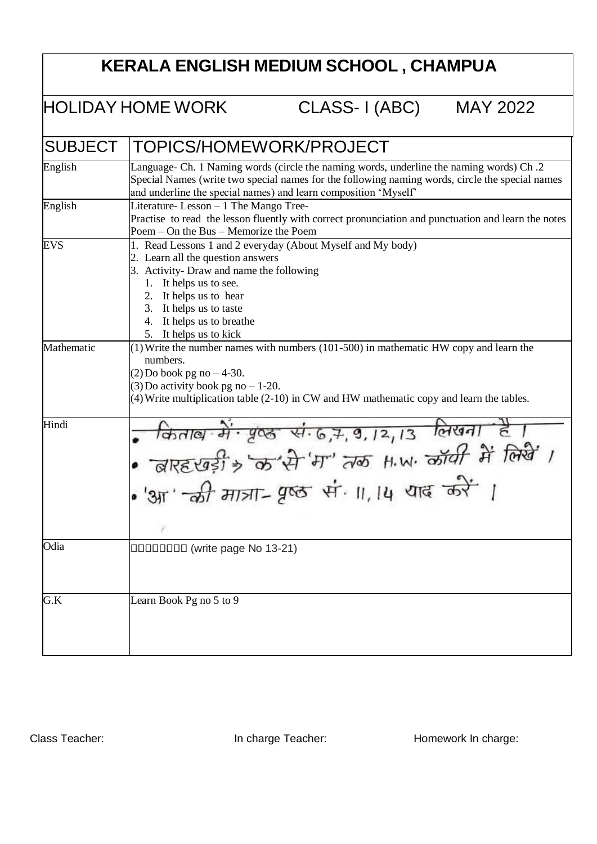## **KERALA ENGLISH MEDIUM SCHOOL , CHAMPUA**

HOLIDAY HOME WORK CLASS- I (ABC) MAY 2022

| <b>SUBJECT</b> | TOPICS/HOMEWORK/PROJECT                                                                                                                                                                                                                                                            |
|----------------|------------------------------------------------------------------------------------------------------------------------------------------------------------------------------------------------------------------------------------------------------------------------------------|
| English        | Language- Ch. 1 Naming words (circle the naming words, underline the naming words) Ch.2<br>Special Names (write two special names for the following naming words, circle the special names<br>and underline the special names) and learn composition 'Myself'                      |
| English        | Literature-Lesson - 1 The Mango Tree-<br>Practise to read the lesson fluently with correct pronunciation and punctuation and learn the notes<br>Poem – On the Bus – Memorize the Poem                                                                                              |
| <b>EVS</b>     | 1. Read Lessons 1 and 2 everyday (About Myself and My body)<br>2. Learn all the question answers<br>3. Activity- Draw and name the following<br>1. It helps us to see.<br>2. It helps us to hear<br>3. It helps us to taste<br>4. It helps us to breathe<br>5. It helps us to kick |
| Mathematic     | $(1)$ Write the number names with numbers (101-500) in mathematic HW copy and learn the<br>numbers.<br>$(2)$ Do book pg no $-4-30$ .<br>$(3)$ Do activity book pg no $-1-20$ .<br>(4) Write multiplication table (2-10) in CW and HW mathematic copy and learn the tables.         |
| Hindi          | • किताब में पृष्ठ सं 6,7,9,12,13 लिखना है।<br>• बाह्हरबड़ी > क'से 'म' तक H.W. कॉर्यी में लिखें 1<br>• 'आ' की मात्रा- पृष्ठ सं ॥,14 याद करें ।                                                                                                                                      |
| Odia           | <b>DODDDDD</b> (write page No 13-21)                                                                                                                                                                                                                                               |
| G.K            | Learn Book Pg no 5 to 9                                                                                                                                                                                                                                                            |

Class Teacher: **In charge Teacher:** In charge Teacher: Homework In charge: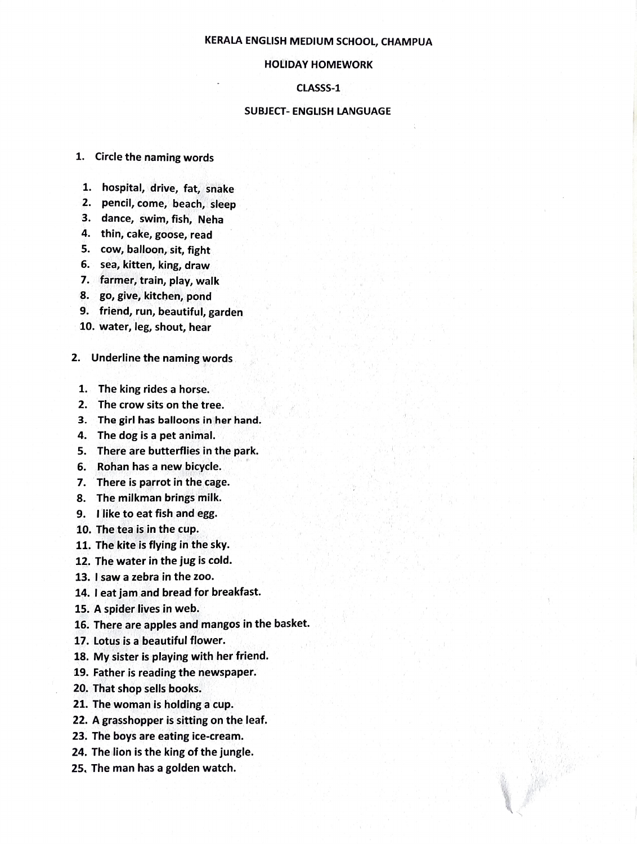## KERALA ENGLISH MEDIUM SCHOOL, CHAMPUA

## HOIDAY HOMEWORK

CLASSS-1

## SUBJECT- ENGLISH LANGUAGE

- 1. Circle the naming words
- 1. hospital, drive, fat, snake
- 2. pencil, come, beach, sleep
- 3. dance, swim, fish, Neha
- 4. thin, cake, goose, read
- 5. cow, balloon, sit, fight
- 6. sea, kitten, king, draw
- 7. farmer, train, play, walk
- 8. go, give, kitchen, pond
- 9. friend, run, beautiful, garden
- 10. water, leg, shout, hear
- 2. Underline the naming words
	- 1. The king rides a horse.
	- 2. The crow sits on the tree.
	- 3. The girl has balloons in her hand.
- 4. The dog is a pet animal.
- 5. There are butterflies in the park.
- 6. Rohan has a new bicycle.
- 7. There is parrot in the cage.
- 8. The milkman brings milk.
- 9. like to eat fish and egg.
- 10. The tea is in the cup.
- 11. The kite is flying in the sky.
- 12. The water in the jug is cold.
- 13. Isaw a zebra in the zoo.
- 14. I eat jam and bread for breakfast.
- 15. A spider lives in web.
- 16. There are apples and mangos in the basket.
- 17. Lotus is a beautiful flower.
- 18. My sister is playing with her friend.
- 19. Father is reading the newspaper.
- 20. That shop sells books.
- 21. The woman is holding a cup.
- 22. A grasshopper is sitting on the leaf.
- 23. The boys are eating ice-cream.
- 24. The lion is the king of the jungle.
- 25. The man has a golden watch.